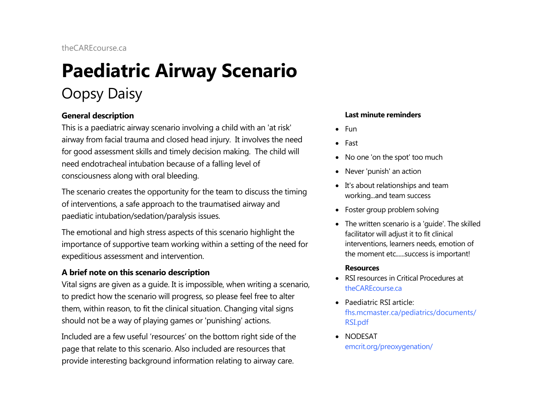# **Paediatric Airway Scenario**  Oopsy Daisy

# **General description**

This is a paediatric airway scenario involving a child with an 'at risk' airway from facial trauma and closed head injury. It involves the need for good assessment skills and timely decision making. The child will need endotracheal intubation because of a falling level of consciousness along with oral bleeding.

The scenario creates the opportunity for the team to discuss the timing of interventions, a safe approach to the traumatised airway and paediatic intubation/sedation/paralysis issues.

The emotional and high stress aspects of this scenario highlight the importance of supportive team working within a setting of the need for expeditious assessment and intervention.

# **A brief note on this scenario description**

Vital signs are given as a guide. It is impossible, when writing a scenario, to predict how the scenario will progress, so please feel free to alter them, within reason, to fit the clinical situation. Changing vital signs should not be a way of playing games or 'punishing' actions.

Included are a few useful 'resources' on the bottom right side of the page that relate to this scenario. Also included are resources that provide interesting background information relating to airway care.

### **Last minute reminders**

- Fun
- Fast
- No one 'on the spot' too much
- Never 'punish' an action
- It's about relationships and team working...and team success
- Foster group problem solving
- The written scenario is a 'guide'. The skilled facilitator will adjust it to fit clinical interventions, learners needs, emotion of the moment etc......success is important!

### **Resources**

- RSI resources in Critical Procedures at [theCAREcourse.ca](http://thecarecourse.ca/)
- Paediatric RSI article: [fhs.mcmaster.ca/pediatrics/documents/](http://fhs.mcmaster.ca/pediatrics/documents/RSI.pdf) [RSI.pdf](http://fhs.mcmaster.ca/pediatrics/documents/RSI.pdf)
- NODESAT [emcrit.org/preoxygenation/](http://emcrit.org/preoxygenation/)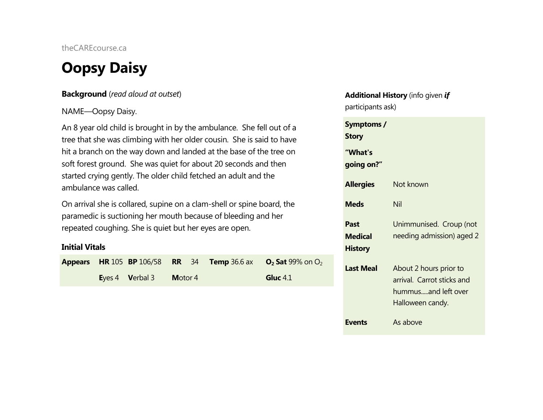# **Oopsy Daisy**

# **Background** (*read aloud at outset*)

# NAME—Oopsy Daisy.

An 8 year old child is brought in by the ambulance. She fell out of a tree that she was climbing with her older cousin. She is said to have hit a branch on the way down and landed at the base of the tree on soft forest ground. She was quiet for about 20 seconds and then started crying gently. The older child fetched an adult and the ambulance was called.

On arrival she is collared, supine on a clam-shell or spine board, the paramedic is suctioning her mouth because of bleeding and her repeated coughing. She is quiet but her eyes are open.

# **Initial Vitals**

|  |                                 |         |  | <b>Appears</b> HR 105 BP 106/58 RR 34 Temp 36.6 ax $O_2$ Sat 99% on $O_2$ |
|--|---------------------------------|---------|--|---------------------------------------------------------------------------|
|  | <b>E</b> yes 4 <b>V</b> erbal 3 | Motor 4 |  | Gluc $4.1$                                                                |

# **Additional History** (info given *if* participants ask)

| Symptoms /<br>Story               |                                                                                                 |
|-----------------------------------|-------------------------------------------------------------------------------------------------|
| "What's<br>going on?"             |                                                                                                 |
| <b>Allergies</b>                  | Not known                                                                                       |
| <b>Meds</b>                       | Nil                                                                                             |
| Past<br>Medical<br><b>History</b> | Unimmunised. Croup (not<br>needing admission) aged 2                                            |
| <b>Last Meal</b>                  | About 2 hours prior to<br>arrival. Carrot sticks and<br>hummusand left over<br>Halloween candy. |
| <b>Events</b>                     | As above                                                                                        |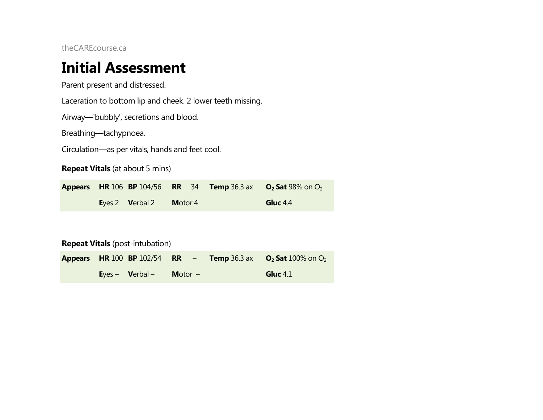# **Initial Assessment**

Parent present and distressed.

Laceration to bottom lip and cheek. 2 lower teeth missing.

Airway—'bubbly', secretions and blood.

Breathing—tachypnoea.

Circulation—as per vitals, hands and feet cool.

**Repeat Vitals** (at about 5 mins)

**Appears HR** 106 **BP** 104/56 **RR** 34 **Temp** 36.3 ax **O<sub>2</sub> Sat** 98% on O<sub>2</sub> **E**yes 2 **V**erbal 2 **M**otor 4 **Gluc** 4.4

**Repeat Vitals** (post-intubation)

|  |                                 |                  | <b>Appears HR 100 BP 102/54 RR – Temp 36.3 ax 02 Sat 100% on O2</b> |
|--|---------------------------------|------------------|---------------------------------------------------------------------|
|  | <b>E</b> yes – <b>V</b> erbal – | <b>Motor</b> $-$ | Gluc $4.1$                                                          |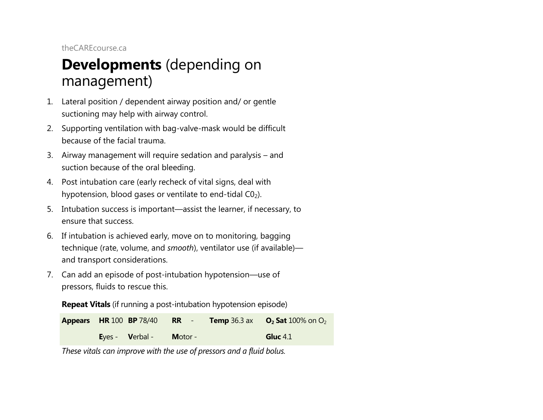# **Developments** (depending on management)

- 1. Lateral position / dependent airway position and/ or gentle suctioning may help with airway control.
- 2. Supporting ventilation with bag-valve-mask would be difficult because of the facial trauma.
- 3. Airway management will require sedation and paralysis and suction because of the oral bleeding.
- 4. Post intubation care (early recheck of vital signs, deal with hypotension, blood gases or ventilate to end-tidal  $CO<sub>2</sub>$ ).
- 5. Intubation success is important—assist the learner, if necessary, to ensure that success.
- 6. If intubation is achieved early, move on to monitoring, bagging technique (rate, volume, and *smooth*), ventilator use (if available) and transport considerations.
- 7. Can add an episode of post-intubation hypotension—use of pressors, fluids to rescue this.

**Repeat Vitals** (if running a post-intubation hypotension episode)



*These vitals can improve with the use of pressors and a fluid bolus.*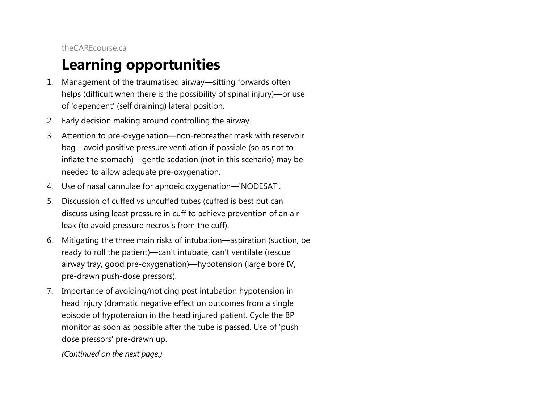# **Learning opportunities**

- 1. Management of the traumatised airway—sitting forwards often helps (difficult when there is the possibility of spinal injury)—or use of 'dependent' (self draining) lateral position.
- 2. Early decision making around controlling the airway.
- 3. Attention to pre-oxygenation—non-rebreather mask with reservoir bag—avoid positive pressure ventilation if possible (so as not to inflate the stomach)—gentle sedation (not in this scenario) may be needed to allow adequate pre-oxygenation.
- 4. Use of nasal cannulae for apnoeic oxygenation—'NODESAT'.
- 5. Discussion of cuffed vs uncuffed tubes (cuffed is best but can discuss using least pressure in cuff to achieve prevention of an air leak (to avoid pressure necrosis from the cuff).
- 6. Mitigating the three main risks of intubation—aspiration (suction, be ready to roll the patient)—can't intubate, can't ventilate (rescue airway tray, good pre-oxygenation)—hypotension (large bore IV, pre-drawn push-dose pressors).
- 7. Importance of avoiding/noticing post intubation hypotension in head injury (dramatic negative effect on outcomes from a single episode of hypotension in the head injured patient. Cycle the BP monitor as soon as possible after the tube is passed. Use of 'push dose pressors' pre-drawn up.

*(Continued on the next page.)*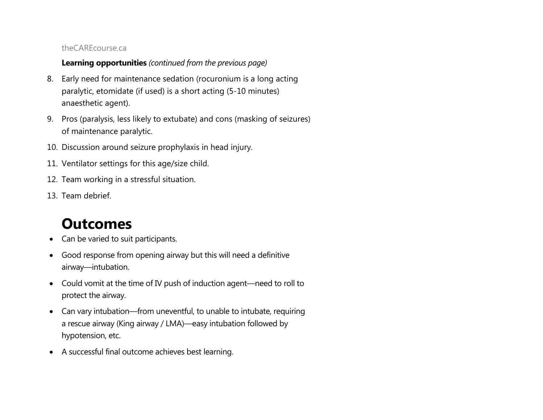# **Learning opportunities** *(continued from the previous page)*

- 8. Early need for maintenance sedation (rocuronium is a long acting paralytic, etomidate (if used) is a short acting (5-10 minutes) anaesthetic agent).
- 9. Pros (paralysis, less likely to extubate) and cons (masking of seizures) of maintenance paralytic.
- 10. Discussion around seizure prophylaxis in head injury.
- 11. Ventilator settings for this age/size child.
- 12. Team working in a stressful situation.
- 13. Team debrief.

# **Outcomes**

- Can be varied to suit participants.
- Good response from opening airway but this will need a definitive airway—intubation.
- Could vomit at the time of IV push of induction agent—need to roll to protect the airway.
- Can vary intubation—from uneventful, to unable to intubate, requiring a rescue airway (King airway / LMA)—easy intubation followed by hypotension, etc.
- A successful final outcome achieves best learning.